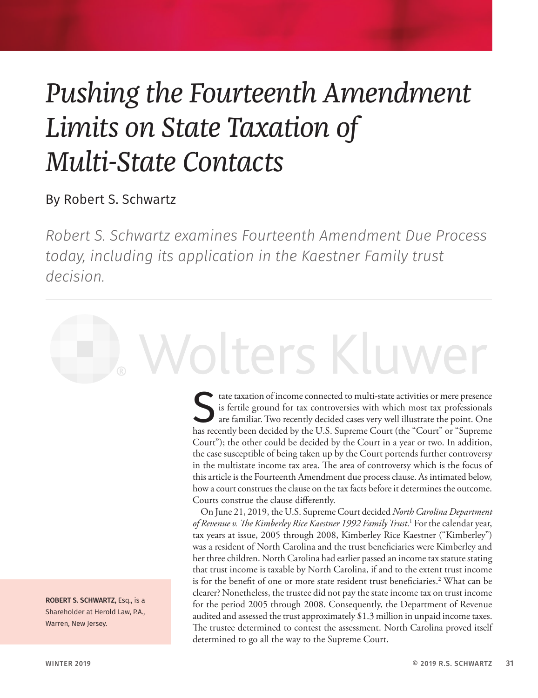### *Pushing the Fourteenth Amendment Limits on State Taxation of Multi-State Contacts*

### By Robert S. Schwartz

*Robert S. Schwartz examines Fourteenth Amendment Due Process today, including its application in the Kaestner Family trust decision.*

# Volters Kluwer

State taxation of income connected to multi-state activities or mere presence<br>is fertile ground for tax controversies with which most tax professionals<br>are familiar. Two recently decided cases very well illustrate the poin is fertile ground for tax controversies with which most tax professionals are familiar. Two recently decided cases very well illustrate the point. One has recently been decided by the U.S. Supreme Court (the "Court" or "Supreme Court"); the other could be decided by the Court in a year or two. In addition, the case susceptible of being taken up by the Court portends further controversy in the multistate income tax area. The area of controversy which is the focus of this article is the Fourteenth Amendment due process clause. As intimated below, how a court construes the clause on the tax facts before it determines the outcome. Courts construe the clause differently.

On June 21, 2019, the U.S. Supreme Court decided *North Carolina Department of Revenue v. The Kimberley Rice Kaestner 1992 Family Trust*. 1 For the calendar year, tax years at issue, 2005 through 2008, Kimberley Rice Kaestner ("Kimberley") was a resident of North Carolina and the trust beneficiaries were Kimberley and her three children. North Carolina had earlier passed an income tax statute stating that trust income is taxable by North Carolina, if and to the extent trust income is for the benefit of one or more state resident trust beneficiaries.2 What can be clearer? Nonetheless, the trustee did not pay the state income tax on trust income for the period 2005 through 2008. Consequently, the Department of Revenue audited and assessed the trust approximately \$1.3 million in unpaid income taxes. The trustee determined to contest the assessment. North Carolina proved itself determined to go all the way to the Supreme Court.

ROBERT S. SCHWARTZ, Esq., is a Shareholder at Herold Law, P.A., Warren, New Jersey.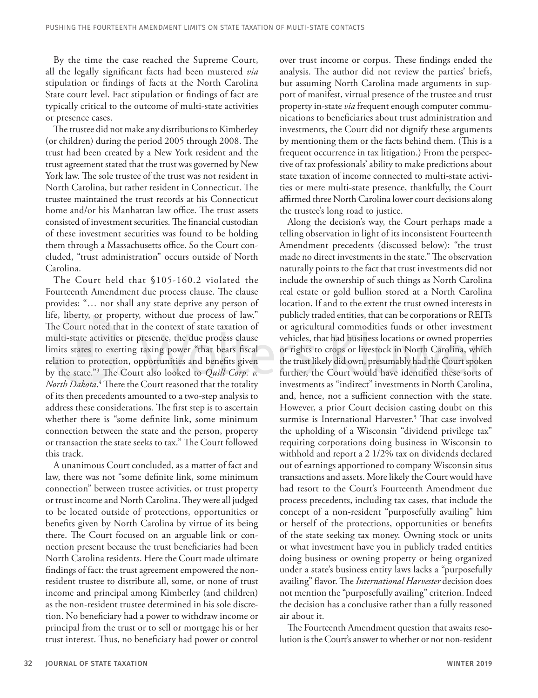By the time the case reached the Supreme Court, all the legally significant facts had been mustered *via* stipulation or findings of facts at the North Carolina State court level. Fact stipulation or findings of fact are typically critical to the outcome of multi-state activities or presence cases.

The trustee did not make any distributions to Kimberley (or children) during the period 2005 through 2008. The trust had been created by a New York resident and the trust agreement stated that the trust was governed by New York law. The sole trustee of the trust was not resident in North Carolina, but rather resident in Connecticut. The trustee maintained the trust records at his Connecticut home and/or his Manhattan law office. The trust assets consisted of investment securities. The financial custodian of these investment securities was found to be holding them through a Massachusetts office. So the Court concluded, "trust administration" occurs outside of North Carolina.

The Court held that §105-160.2 violated the Fourteenth Amendment due process clause. The clause provides: "… nor shall any state deprive any person of life, liberty, or property, without due process of law." The Court noted that in the context of state taxation of multi-state activities or presence, the due process clause limits states to exerting taxing power "that bears fiscal relation to protection, opportunities and benefits given by the state."3 The Court also looked to *Quill Corp. v. North Dakota*. 4 There the Court reasoned that the totality of its then precedents amounted to a two-step analysis to address these considerations. The first step is to ascertain whether there is "some definite link, some minimum connection between the state and the person, property or transaction the state seeks to tax." The Court followed this track.

A unanimous Court concluded, as a matter of fact and law, there was not "some definite link, some minimum connection" between trustee activities, or trust property or trust income and North Carolina. They were all judged to be located outside of protections, opportunities or benefits given by North Carolina by virtue of its being there. The Court focused on an arguable link or connection present because the trust beneficiaries had been North Carolina residents. Here the Court made ultimate findings of fact: the trust agreement empowered the nonresident trustee to distribute all, some, or none of trust income and principal among Kimberley (and children) as the non-resident trustee determined in his sole discretion. No beneficiary had a power to withdraw income or principal from the trust or to sell or mortgage his or her trust interest. Thus, no beneficiary had power or control

over trust income or corpus. These findings ended the analysis. The author did not review the parties' briefs, but assuming North Carolina made arguments in support of manifest, virtual presence of the trustee and trust property in-state *via* frequent enough computer communications to beneficiaries about trust administration and investments, the Court did not dignify these arguments by mentioning them or the facts behind them. (This is a frequent occurrence in tax litigation.) From the perspective of tax professionals' ability to make predictions about state taxation of income connected to multi-state activities or mere multi-state presence, thankfully, the Court affirmed three North Carolina lower court decisions along the trustee's long road to justice.

Along the decision's way, the Court perhaps made a telling observation in light of its inconsistent Fourteenth Amendment precedents (discussed below): "the trust made no direct investments in the state." The observation naturally points to the fact that trust investments did not include the ownership of such things as North Carolina real estate or gold bullion stored at a North Carolina location. If and to the extent the trust owned interests in publicly traded entities, that can be corporations or REITs or agricultural commodities funds or other investment vehicles, that had business locations or owned properties or rights to crops or livestock in North Carolina, which the trust likely did own, presumably had the Court spoken further, the Court would have identified these sorts of investments as "indirect" investments in North Carolina, and, hence, not a sufficient connection with the state. However, a prior Court decision casting doubt on this surmise is International Harvester.<sup>5</sup> That case involved the upholding of a Wisconsin "dividend privilege tax" requiring corporations doing business in Wisconsin to withhold and report a 2 1/2% tax on dividends declared out of earnings apportioned to company Wisconsin situs transactions and assets. More likely the Court would have had resort to the Court's Fourteenth Amendment due process precedents, including tax cases, that include the concept of a non-resident "purposefully availing" him or herself of the protections, opportunities or benefits of the state seeking tax money. Owning stock or units or what investment have you in publicly traded entities doing business or owning property or being organized under a state's business entity laws lacks a "purposefully availing" flavor. The *International Harvester* decision does not mention the "purposefully availing" criterion. Indeed the decision has a conclusive rather than a fully reasoned air about it.

The Fourteenth Amendment question that awaits resolution is the Court's answer to whether or not non-resident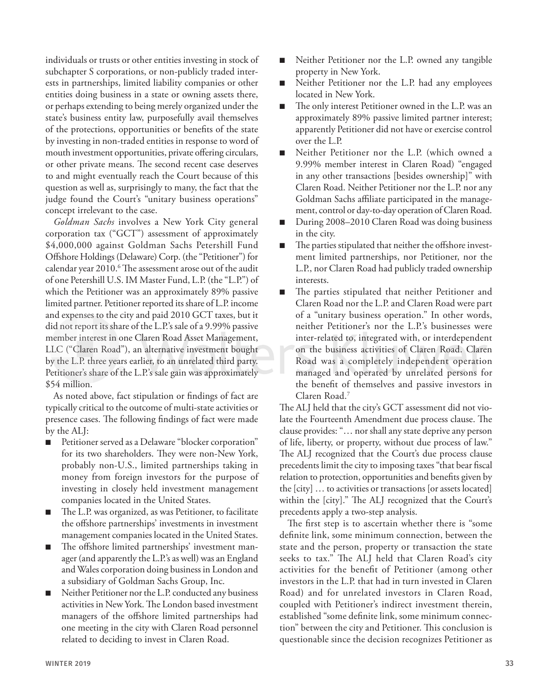individuals or trusts or other entities investing in stock of subchapter S corporations, or non-publicly traded interests in partnerships, limited liability companies or other entities doing business in a state or owning assets there, or perhaps extending to being merely organized under the state's business entity law, purposefully avail themselves of the protections, opportunities or benefits of the state by investing in non-traded entities in response to word of mouth investment opportunities, private offering circulars, or other private means. The second recent case deserves to and might eventually reach the Court because of this question as well as, surprisingly to many, the fact that the judge found the Court's "unitary business operations" concept irrelevant to the case.

*Goldman Sachs* involves a New York City general corporation tax ("GCT") assessment of approximately \$4,000,000 against Goldman Sachs Petershill Fund Offshore Holdings (Delaware) Corp. (the "Petitioner") for calendar year 2010. $\rm ^6$  The assessment arose out of the audit of one Petershill U.S. IM Master Fund, L.P. (the "L.P.") of which the Petitioner was an approximately 89% passive limited partner. Petitioner reported its share of L.P. income and expenses to the city and paid 2010 GCT taxes, but it did not report its share of the L.P.'s sale of a 9.99% passive member interest in one Claren Road Asset Management, LLC ("Claren Road"), an alternative investment bought by the L.P. three years earlier, to an unrelated third party. Petitioner's share of the L.P.'s sale gain was approximately \$54 million.

As noted above, fact stipulation or findings of fact are typically critical to the outcome of multi-state activities or presence cases. The following findings of fact were made by the ALJ:

- Petitioner served as a Delaware "blocker corporation" for its two shareholders. They were non-New York, probably non-U.S., limited partnerships taking in money from foreign investors for the purpose of investing in closely held investment management companies located in the United States.
- The L.P. was organized, as was Petitioner, to facilitate the offshore partnerships' investments in investment management companies located in the United States.
- The offshore limited partnerships' investment manager (and apparently the L.P.'s as well) was an England and Wales corporation doing business in London and a subsidiary of Goldman Sachs Group, Inc.
- Neither Petitioner nor the L.P. conducted any business activities in New York. The London based investment managers of the offshore limited partnerships had one meeting in the city with Claren Road personnel related to deciding to invest in Claren Road.
- Neither Petitioner nor the L.P. owned any tangible property in New York.
- Neither Petitioner nor the L.P. had any employees located in New York.
- The only interest Petitioner owned in the L.P. was an approximately 89% passive limited partner interest; apparently Petitioner did not have or exercise control over the L.P.
- Neither Petitioner nor the L.P. (which owned a 9.99% member interest in Claren Road) "engaged in any other transactions [besides ownership]" with Claren Road. Neither Petitioner nor the L.P. nor any Goldman Sachs affiliate participated in the management, control or day-to-day operation of Claren Road.
- During 2008–2010 Claren Road was doing business in the city.
- The parties stipulated that neither the offshore investment limited partnerships, nor Petitioner, nor the L.P., nor Claren Road had publicly traded ownership interests.
- The parties stipulated that neither Petitioner and Claren Road nor the L.P. and Claren Road were part of a "unitary business operation." In other words, neither Petitioner's nor the L.P.'s businesses were inter-related to, integrated with, or interdependent on the business activities of Claren Road. Claren Road was a completely independent operation managed and operated by unrelated persons for the benefit of themselves and passive investors in Claren Road.7

The ALJ held that the city's GCT assessment did not violate the Fourteenth Amendment due process clause. The clause provides: "… nor shall any state deprive any person of life, liberty, or property, without due process of law." The ALJ recognized that the Court's due process clause precedents limit the city to imposing taxes "that bear fiscal relation to protection, opportunities and benefits given by the [city] … to activities or transactions [or assets located] within the [city]." The ALJ recognized that the Court's precedents apply a two-step analysis.

The first step is to ascertain whether there is "some definite link, some minimum connection, between the state and the person, property or transaction the state seeks to tax." The ALJ held that Claren Road's city activities for the benefit of Petitioner (among other investors in the L.P. that had in turn invested in Claren Road) and for unrelated investors in Claren Road, coupled with Petitioner's indirect investment therein, established "some definite link, some minimum connection" between the city and Petitioner. This conclusion is questionable since the decision recognizes Petitioner as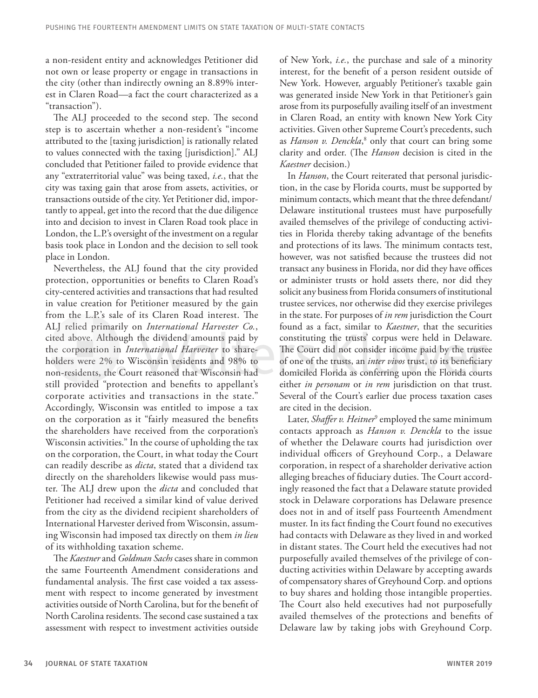a non-resident entity and acknowledges Petitioner did not own or lease property or engage in transactions in the city (other than indirectly owning an 8.89% interest in Claren Road—a fact the court characterized as a "transaction").

The ALJ proceeded to the second step. The second step is to ascertain whether a non-resident's "income attributed to the [taxing jurisdiction] is rationally related to values connected with the taxing [jurisdiction]." ALJ concluded that Petitioner failed to provide evidence that any "extraterritorial value" was being taxed, *i.e.*, that the city was taxing gain that arose from assets, activities, or transactions outside of the city. Yet Petitioner did, importantly to appeal, get into the record that the due diligence into and decision to invest in Claren Road took place in London, the L.P.'s oversight of the investment on a regular basis took place in London and the decision to sell took place in London.

Nevertheless, the ALJ found that the city provided protection, opportunities or benefits to Claren Road's city-centered activities and transactions that had resulted in value creation for Petitioner measured by the gain from the L.P.'s sale of its Claren Road interest. The ALJ relied primarily on *International Harvester Co.*, cited above. Although the dividend amounts paid by the corporation in *International Harvester* to shareholders were 2% to Wisconsin residents and 98% to non-residents, the Court reasoned that Wisconsin had still provided "protection and benefits to appellant's corporate activities and transactions in the state." Accordingly, Wisconsin was entitled to impose a tax on the corporation as it "fairly measured the benefits the shareholders have received from the corporation's Wisconsin activities." In the course of upholding the tax on the corporation, the Court, in what today the Court can readily describe as *dicta*, stated that a dividend tax directly on the shareholders likewise would pass muster. The ALJ drew upon the *dicta* and concluded that Petitioner had received a similar kind of value derived from the city as the dividend recipient shareholders of International Harvester derived from Wisconsin, assuming Wisconsin had imposed tax directly on them *in lieu* of its withholding taxation scheme.

The *Kaestner* and *Goldman Sachs* cases share in common the same Fourteenth Amendment considerations and fundamental analysis. The first case voided a tax assessment with respect to income generated by investment activities outside of North Carolina, but for the benefit of North Carolina residents. The second case sustained a tax assessment with respect to investment activities outside

of New York, *i.e.*, the purchase and sale of a minority interest, for the benefit of a person resident outside of New York. However, arguably Petitioner's taxable gain was generated inside New York in that Petitioner's gain arose from its purposefully availing itself of an investment in Claren Road, an entity with known New York City activities. Given other Supreme Court's precedents, such as *Hanson v. Denckla*,<sup>8</sup> only that court can bring some clarity and order. (The *Hanson* decision is cited in the *Kaestner* decision.)

In *Hanson*, the Court reiterated that personal jurisdiction, in the case by Florida courts, must be supported by minimum contacts, which meant that the three defendant/ Delaware institutional trustees must have purposefully availed themselves of the privilege of conducting activities in Florida thereby taking advantage of the benefits and protections of its laws. The minimum contacts test, however, was not satisfied because the trustees did not transact any business in Florida, nor did they have offices or administer trusts or hold assets there, nor did they solicit any business from Florida consumers of institutional trustee services, nor otherwise did they exercise privileges in the state. For purposes of *in rem* jurisdiction the Court found as a fact, similar to *Kaestner*, that the securities constituting the trusts' corpus were held in Delaware. The Court did not consider income paid by the trustee of one of the trusts, an *inter vivos* trust, to its beneficiary domiciled Florida as conferring upon the Florida courts either *in personam* or *in rem* jurisdiction on that trust. Several of the Court's earlier due process taxation cases are cited in the decision.

Later, *Shaffer v. Heitner*<sup>9</sup> employed the same minimum contacts approach as *Hanson v. Denckla* to the issue of whether the Delaware courts had jurisdiction over individual officers of Greyhound Corp., a Delaware corporation, in respect of a shareholder derivative action alleging breaches of fiduciary duties. The Court accordingly reasoned the fact that a Delaware statute provided stock in Delaware corporations has Delaware presence does not in and of itself pass Fourteenth Amendment muster. In its fact finding the Court found no executives had contacts with Delaware as they lived in and worked in distant states. The Court held the executives had not purposefully availed themselves of the privilege of conducting activities within Delaware by accepting awards of compensatory shares of Greyhound Corp. and options to buy shares and holding those intangible properties. The Court also held executives had not purposefully availed themselves of the protections and benefits of Delaware law by taking jobs with Greyhound Corp.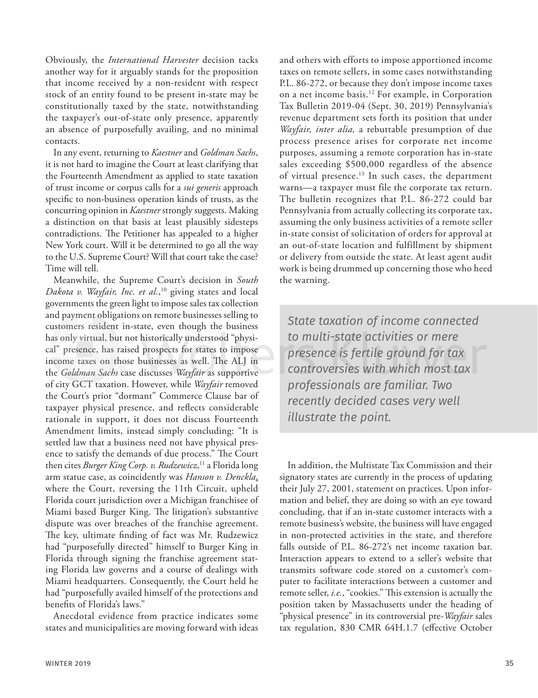Obviously, the *International Harvester* decision tacks another way for it arguably stands for the proposition that income received by a non-resident with respect stock of an entity found to be present in-state may be constitutionally taxed by the state, notwithstanding the taxpayer's out-of-state only presence, apparently an absence of purposefully availing, and no minimal contacts.

In any event, returning to *Kaestner* and *Goldman Sachs*, it is not hard to imagine the Court at least clarifying that the Fourteenth Amendment as applied to state taxation of trust income or corpus calls for a *sui generis* approach specific to non-business operation kinds of trusts, as the concurring opinion in *Kaestner* strongly suggests. Making a distinction on that basis at least plausibly sidesteps contradictions. The Petitioner has appealed to a higher New York court. Will it be determined to go all the way to the U.S. Supreme Court? Will that court take the case? Time will tell.

Meanwhile, the Supreme Court's decision in *South Dakota v. Wayfair, Inc*. *et al.*, 10 giving states and local governments the green light to impose sales tax collection and payment obligations on remote businesses selling to customers resident in-state, even though the business has only virtual, but not historically understood "physical" presence, has raised prospects for states to impose income taxes on those businesses as well. The ALJ in the *Goldman Sachs* case discusses *Wayfair* as supportive of city GCT taxation. However, while *Wayfair* removed the Court's prior "dormant" Commerce Clause bar of taxpayer physical presence, and reflects considerable rationale in support, it does not discuss Fourteenth Amendment limits, instead simply concluding: "It is settled law that a business need not have physical presence to satisfy the demands of due process." The Court then cites *Burger King Corp. v. Rudzewicz*, 11 a Florida long arm statue case, as coincidently was *Hanson v. Denckla*, where the Court, reversing the 11th Circuit, upheld Florida court jurisdiction over a Michigan franchisee of Miami based Burger King. The litigation's substantive dispute was over breaches of the franchise agreement. The key, ultimate finding of fact was Mr. Rudzewicz had "purposefully directed" himself to Burger King in Florida through signing the franchise agreement stating Florida law governs and a course of dealings with Miami headquarters. Consequently, the Court held he had "purposefully availed himself of the protections and benefits of Florida's laws."

Anecdotal evidence from practice indicates some states and municipalities are moving forward with ideas

and others with efforts to impose apportioned income taxes on remote sellers, in some cases notwithstanding P.L. 86-272, or because they don't impose income taxes on a net income basis.12 For example, in Corporation Tax Bulletin 2019-04 (Sept. 30, 2019) Pennsylvania's revenue department sets forth its position that under *Wayfair, inter alia,* a rebuttable presumption of due process presence arises for corporate net income purposes, assuming a remote corporation has in-state sales exceeding \$500,000 regardless of the absence of virtual presence.<sup>13</sup> In such cases, the department warns—a taxpayer must file the corporate tax return. The bulletin recognizes that P.L. 86-272 could bar Pennsylvania from actually collecting its corporate tax, assuming the only business activities of a remote seller in-state consist of solicitation of orders for approval at an out-of-state location and fulfillment by shipment or delivery from outside the state. At least agent audit work is being drummed up concerning those who heed the warning.

*State taxation of income connected to multi-state activities or mere presence is fertile ground for tax controversies with which most tax professionals are familiar. Two recently decided cases very well illustrate the point.* 

In addition, the Multistate Tax Commission and their signatory states are currently in the process of updating their July 27, 2001, statement on practices. Upon information and belief, they are doing so with an eye toward concluding, that if an in-state customer interacts with a remote business's website, the business will have engaged in non-protected activities in the state, and therefore falls outside of P.L. 86-272's net income taxation bar. Interaction appears to extend to a seller's website that transmits software code stored on a customer's computer to facilitate interactions between a customer and remote seller, *i.e.*, "cookies." This extension is actually the position taken by Massachusetts under the heading of "physical presence" in its controversial pre-*Wayfair* sales tax regulation, 830 CMR 64H.1.7 (effective October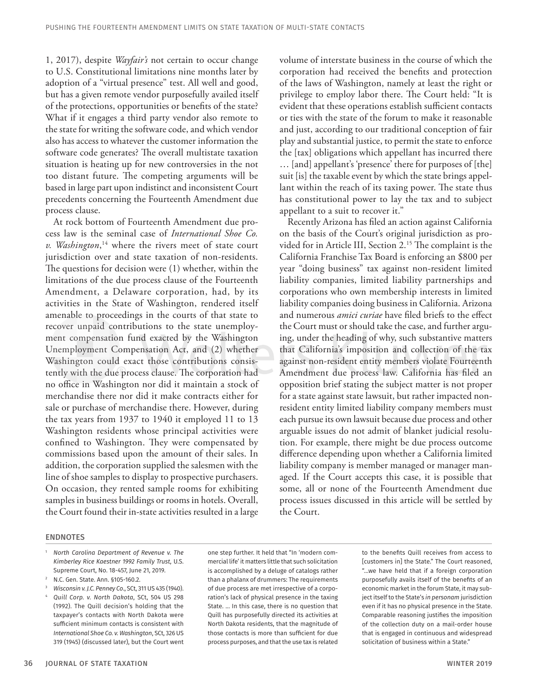1, 2017), despite *Wayfair's* not certain to occur change to U.S. Constitutional limitations nine months later by adoption of a "virtual presence" test. All well and good, but has a given remote vendor purposefully availed itself of the protections, opportunities or benefits of the state? What if it engages a third party vendor also remote to the state for writing the software code, and which vendor also has access to whatever the customer information the software code generates? The overall multistate taxation situation is heating up for new controversies in the not too distant future. The competing arguments will be based in large part upon indistinct and inconsistent Court precedents concerning the Fourteenth Amendment due process clause.

At rock bottom of Fourteenth Amendment due process law is the seminal case of *International Shoe Co. v. Washington*, 14 where the rivers meet of state court jurisdiction over and state taxation of non-residents. The questions for decision were (1) whether, within the limitations of the due process clause of the Fourteenth Amendment, a Delaware corporation, had, by its activities in the State of Washington, rendered itself amenable to proceedings in the courts of that state to recover unpaid contributions to the state unemployment compensation fund exacted by the Washington Unemployment Compensation Act, and (2) whether Washington could exact those contributions consistently with the due process clause. The corporation had no office in Washington nor did it maintain a stock of merchandise there nor did it make contracts either for sale or purchase of merchandise there. However, during the tax years from 1937 to 1940 it employed 11 to 13 Washington residents whose principal activities were confined to Washington. They were compensated by commissions based upon the amount of their sales. In addition, the corporation supplied the salesmen with the line of shoe samples to display to prospective purchasers. On occasion, they rented sample rooms for exhibiting samples in business buildings or rooms in hotels. Overall, the Court found their in-state activities resulted in a large

#### volume of interstate business in the course of which the corporation had received the benefits and protection of the laws of Washington, namely at least the right or privilege to employ labor there. The Court held: "It is evident that these operations establish sufficient contacts or ties with the state of the forum to make it reasonable and just, according to our traditional conception of fair play and substantial justice, to permit the state to enforce the [tax] obligations which appellant has incurred there … [and] appellant's 'presence' there for purposes of [the] suit [is] the taxable event by which the state brings appellant within the reach of its taxing power. The state thus has constitutional power to lay the tax and to subject appellant to a suit to recover it."

Recently Arizona has filed an action against California on the basis of the Court's original jurisdiction as provided for in Article III, Section 2.<sup>15</sup> The complaint is the California Franchise Tax Board is enforcing an \$800 per year "doing business" tax against non-resident limited liability companies, limited liability partnerships and corporations who own membership interests in limited liability companies doing business in California. Arizona and numerous *amici curiae* have filed briefs to the effect the Court must or should take the case, and further arguing, under the heading of why, such substantive matters that California's imposition and collection of the tax against non-resident entity members violate Fourteenth Amendment due process law. California has filed an opposition brief stating the subject matter is not proper for a state against state lawsuit, but rather impacted nonresident entity limited liability company members must each pursue its own lawsuit because due process and other arguable issues do not admit of blanket judicial resolution. For example, there might be due process outcome difference depending upon whether a California limited liability company is member managed or manager managed. If the Court accepts this case, it is possible that some, all or none of the Fourteenth Amendment due process issues discussed in this article will be settled by the Court.

#### ENDNOTES

- <sup>1</sup> *North Carolina Department of Revenue v. The Kimberley Rice Kaestner 1992 Family Trust*, U.S. Supreme Court, No. 18-457, June 21, 2019.
- <sup>2</sup> N.C. Gen. State. Ann. §105-160.2.
- <sup>3</sup> *Wisconsin v. J.C. Penney Co*., SCt, 311 US 435 (1940). <sup>4</sup> *Quill Corp. v. North Dakota*, SCt, 504 US 298 (1992). The Quill decision's holding that the taxpayer's contacts with North Dakota were sufficient minimum contacts is consistent with *International Shoe Co. v. Washington*, SCt, 326 US 319 (1945) (discussed later), but the Court went

one step further. It held that "In 'modern commercial life' it matters little that such solicitation is accomplished by a deluge of catalogs rather than a phalanx of drummers: The requirements of due process are met irrespective of a corporation's lack of physical presence in the taxing State. … In this case, there is no question that Quill has purposefully directed its activities at North Dakota residents, that the magnitude of those contacts is more than sufficient for due process purposes, and that the use tax is related

to the benefits Quill receives from access to [customers in] the State." The Court reasoned, "…we have held that if a foreign corporation purposefully avails itself of the benefits of an economic market in the forum State, it may subject itself to the State's *in personam* jurisdiction even if it has no physical presence in the State. Comparable reasoning justifies the imposition of the collection duty on a mail-order house that is engaged in continuous and widespread solicitation of business within a State."